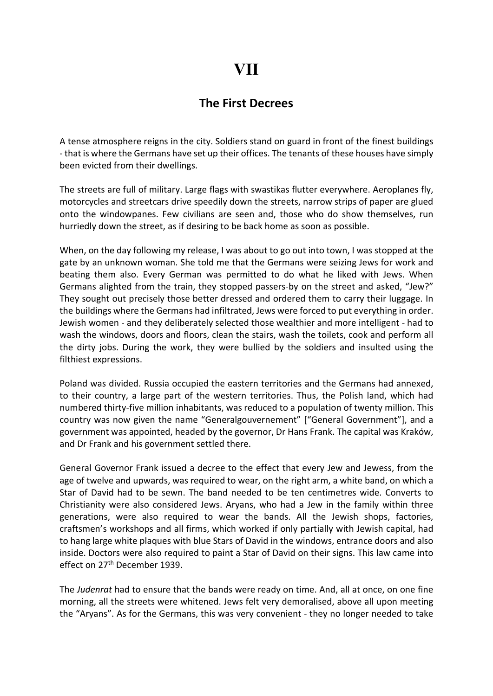## VII

## The First Decrees

A tense atmosphere reigns in the city. Soldiers stand on guard in front of the finest buildings - that is where the Germans have set up their offices. The tenants of these houses have simply been evicted from their dwellings.

The streets are full of military. Large flags with swastikas flutter everywhere. Aeroplanes fly, motorcycles and streetcars drive speedily down the streets, narrow strips of paper are glued onto the windowpanes. Few civilians are seen and, those who do show themselves, run hurriedly down the street, as if desiring to be back home as soon as possible.

When, on the day following my release, I was about to go out into town, I was stopped at the gate by an unknown woman. She told me that the Germans were seizing Jews for work and beating them also. Every German was permitted to do what he liked with Jews. When Germans alighted from the train, they stopped passers-by on the street and asked, "Jew?" They sought out precisely those better dressed and ordered them to carry their luggage. In the buildings where the Germans had infiltrated, Jews were forced to put everything in order. Jewish women - and they deliberately selected those wealthier and more intelligent - had to wash the windows, doors and floors, clean the stairs, wash the toilets, cook and perform all the dirty jobs. During the work, they were bullied by the soldiers and insulted using the filthiest expressions.

Poland was divided. Russia occupied the eastern territories and the Germans had annexed, to their country, a large part of the western territories. Thus, the Polish land, which had numbered thirty-five million inhabitants, was reduced to a population of twenty million. This country was now given the name "Generalgouvernement" ["General Government"], and a government was appointed, headed by the governor, Dr Hans Frank. The capital was Kraków, and Dr Frank and his government settled there.

General Governor Frank issued a decree to the effect that every Jew and Jewess, from the age of twelve and upwards, was required to wear, on the right arm, a white band, on which a Star of David had to be sewn. The band needed to be ten centimetres wide. Converts to Christianity were also considered Jews. Aryans, who had a Jew in the family within three generations, were also required to wear the bands. All the Jewish shops, factories, craftsmen's workshops and all firms, which worked if only partially with Jewish capital, had to hang large white plaques with blue Stars of David in the windows, entrance doors and also inside. Doctors were also required to paint a Star of David on their signs. This law came into effect on 27<sup>th</sup> December 1939.

The Judenrat had to ensure that the bands were ready on time. And, all at once, on one fine morning, all the streets were whitened. Jews felt very demoralised, above all upon meeting the "Aryans". As for the Germans, this was very convenient - they no longer needed to take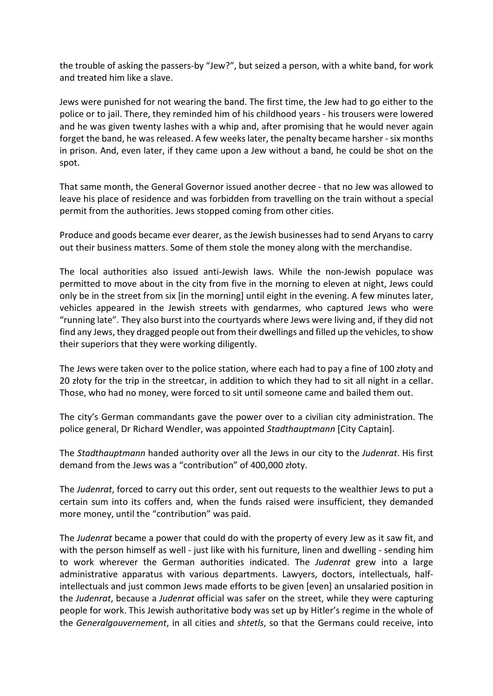the trouble of asking the passers-by "Jew?", but seized a person, with a white band, for work and treated him like a slave.

Jews were punished for not wearing the band. The first time, the Jew had to go either to the police or to jail. There, they reminded him of his childhood years - his trousers were lowered and he was given twenty lashes with a whip and, after promising that he would never again forget the band, he was released. A few weeks later, the penalty became harsher - six months in prison. And, even later, if they came upon a Jew without a band, he could be shot on the spot.

That same month, the General Governor issued another decree - that no Jew was allowed to leave his place of residence and was forbidden from travelling on the train without a special permit from the authorities. Jews stopped coming from other cities.

Produce and goods became ever dearer, as the Jewish businesses had to send Aryans to carry out their business matters. Some of them stole the money along with the merchandise.

The local authorities also issued anti-Jewish laws. While the non-Jewish populace was permitted to move about in the city from five in the morning to eleven at night, Jews could only be in the street from six [in the morning] until eight in the evening. A few minutes later, vehicles appeared in the Jewish streets with gendarmes, who captured Jews who were "running late". They also burst into the courtyards where Jews were living and, if they did not find any Jews, they dragged people out from their dwellings and filled up the vehicles, to show their superiors that they were working diligently.

The Jews were taken over to the police station, where each had to pay a fine of 100 złoty and 20 złoty for the trip in the streetcar, in addition to which they had to sit all night in a cellar. Those, who had no money, were forced to sit until someone came and bailed them out.

The city's German commandants gave the power over to a civilian city administration. The police general, Dr Richard Wendler, was appointed Stadthauptmann [City Captain].

The Stadthauptmann handed authority over all the Jews in our city to the Judenrat. His first demand from the Jews was a "contribution" of 400,000 złoty.

The Judenrat, forced to carry out this order, sent out requests to the wealthier Jews to put a certain sum into its coffers and, when the funds raised were insufficient, they demanded more money, until the "contribution" was paid.

The Judenrat became a power that could do with the property of every Jew as it saw fit, and with the person himself as well - just like with his furniture, linen and dwelling - sending him to work wherever the German authorities indicated. The Judenrat grew into a large administrative apparatus with various departments. Lawyers, doctors, intellectuals, halfintellectuals and just common Jews made efforts to be given [even] an unsalaried position in the Judenrat, because a Judenrat official was safer on the street, while they were capturing people for work. This Jewish authoritative body was set up by Hitler's regime in the whole of the Generalgouvernement, in all cities and shtetls, so that the Germans could receive, into